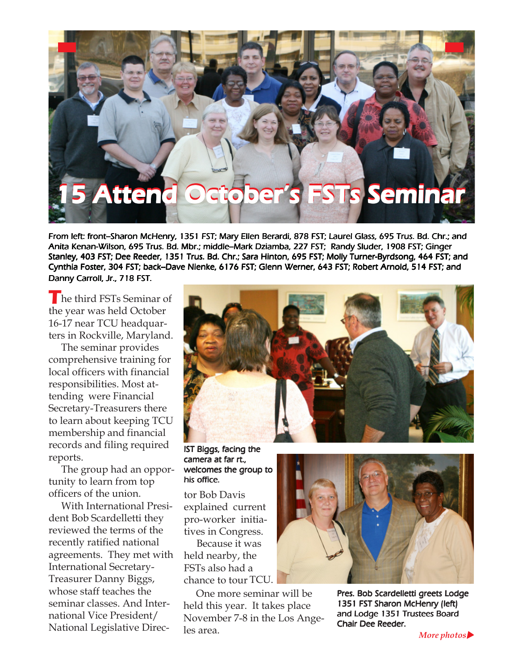## 5 Attend October's FSTs Seminar

From left: front--Sharon McHenry, 1351 FST; Mary Ellen Berardi, 878 FST; Laurel Glass, 695 Trus. Bd. Chr.; and Anita Kenan-Wilson, 695 Trus. Bd. Mbr.; middle-Mark Dziamba, 227 FST; Randy Sluder, 1908 FST; Ginger Stanley, 403 FST; Dee Reeder, 1351 Trus. Bd. Chr.; Sara Hinton, 695 FST; Molly Turner-Byrdsong, 464 FST; and Cynthia Foster, 304 FST; back-Dave Nienke, 6176 FST; Glenn Werner, 643 FST; Robert Arnold, 514 FST; and Danny Carroll, Jr., 718 FST.

The third FSTs Seminar of the year was held October 16-17 near TCU headquarters in Rockville, Maryland.

 The seminar provides comprehensive training for local officers with financial responsibilities. Most attending were Financial Secretary-Treasurers there to learn about keeping TCU membership and financial records and filing required reports.

 The group had an opportunity to learn from top officers of the union.

 With International President Bob Scardelletti they reviewed the terms of the recently ratified national agreements. They met with International Secretary-Treasurer Danny Biggs, whose staff teaches the seminar classes. And International Vice President/ National Legislative Direc-



IST Biggs, facing the camera at far rt., welcomes the group to his office.

tor Bob Davis explained current pro-worker initiatives in Congress.

 Because it was held nearby, the FSTs also had a chance to tour TCU.

 One more seminar will be held this year. It takes place November 7-8 in the Los Angeles area.



Pres. Bob Scardelletti greets Lodge 1351 FST Sharon McHenry (left) and Lodge 1351 Trustees Board Chair Dee Reeder.